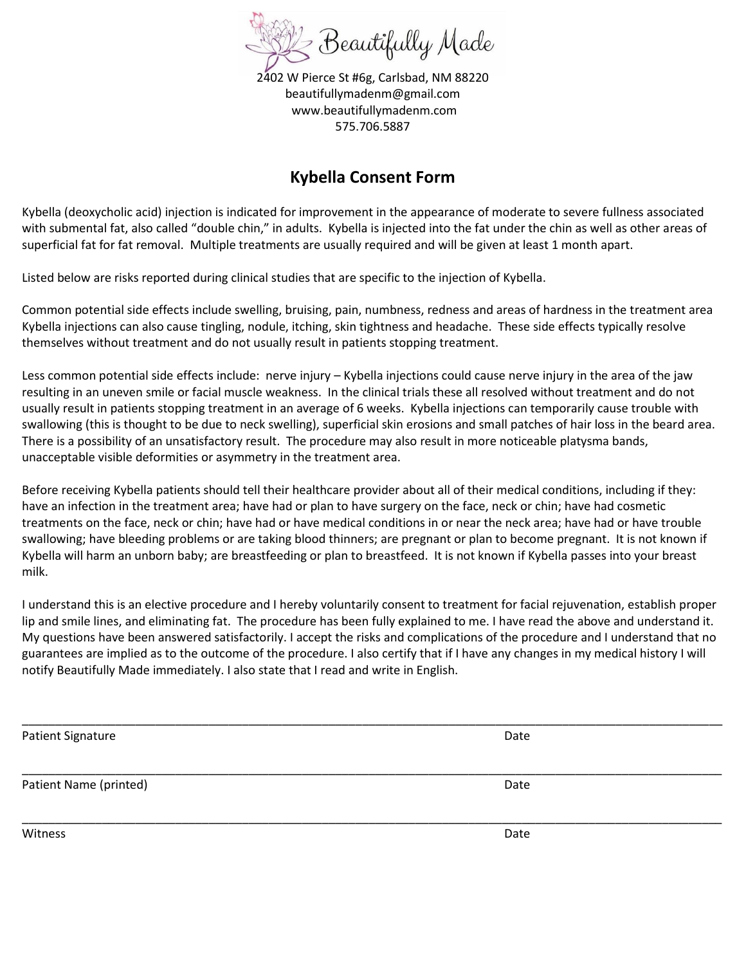

2402 W Pierce St #6g, Carlsbad, NM 88220 beautifullymadenm@gmail.com www.beautifullymadenm.com 575.706.5887

## **Kybella Consent Form**

Kybella (deoxycholic acid) injection is indicated for improvement in the appearance of moderate to severe fullness associated with submental fat, also called "double chin," in adults. Kybella is injected into the fat under the chin as well as other areas of superficial fat for fat removal. Multiple treatments are usually required and will be given at least 1 month apart.

Listed below are risks reported during clinical studies that are specific to the injection of Kybella.

Common potential side effects include swelling, bruising, pain, numbness, redness and areas of hardness in the treatment area Kybella injections can also cause tingling, nodule, itching, skin tightness and headache. These side effects typically resolve themselves without treatment and do not usually result in patients stopping treatment.

Less common potential side effects include: nerve injury – Kybella injections could cause nerve injury in the area of the jaw resulting in an uneven smile or facial muscle weakness. In the clinical trials these all resolved without treatment and do not usually result in patients stopping treatment in an average of 6 weeks. Kybella injections can temporarily cause trouble with swallowing (this is thought to be due to neck swelling), superficial skin erosions and small patches of hair loss in the beard area. There is a possibility of an unsatisfactory result. The procedure may also result in more noticeable platysma bands, unacceptable visible deformities or asymmetry in the treatment area.

Before receiving Kybella patients should tell their healthcare provider about all of their medical conditions, including if they: have an infection in the treatment area; have had or plan to have surgery on the face, neck or chin; have had cosmetic treatments on the face, neck or chin; have had or have medical conditions in or near the neck area; have had or have trouble swallowing; have bleeding problems or are taking blood thinners; are pregnant or plan to become pregnant. It is not known if Kybella will harm an unborn baby; are breastfeeding or plan to breastfeed. It is not known if Kybella passes into your breast milk.

I understand this is an elective procedure and I hereby voluntarily consent to treatment for facial rejuvenation, establish proper lip and smile lines, and eliminating fat. The procedure has been fully explained to me. I have read the above and understand it. My questions have been answered satisfactorily. I accept the risks and complications of the procedure and I understand that no guarantees are implied as to the outcome of the procedure. I also certify that if I have any changes in my medical history I will notify Beautifully Made immediately. I also state that I read and write in English.

| <b>Patient Signature</b> | Date |
|--------------------------|------|
| Patient Name (printed)   | Date |
| Witness                  | Date |